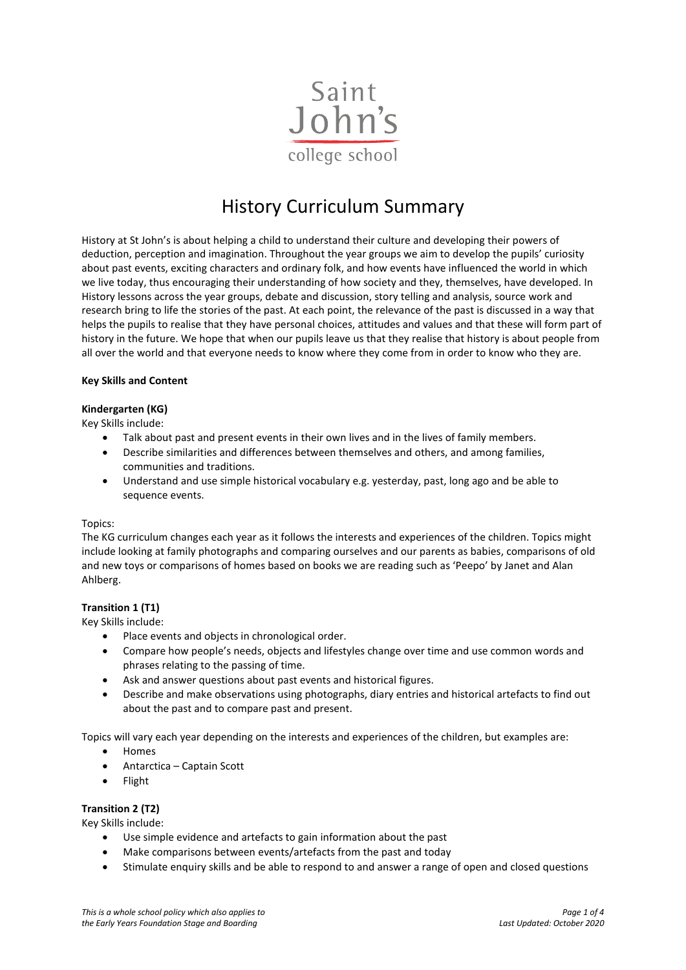

# History Curriculum Summary

History at St John's is about helping a child to understand their culture and developing their powers of deduction, perception and imagination. Throughout the year groups we aim to develop the pupils' curiosity about past events, exciting characters and ordinary folk, and how events have influenced the world in which we live today, thus encouraging their understanding of how society and they, themselves, have developed. In History lessons across the year groups, debate and discussion, story telling and analysis, source work and research bring to life the stories of the past. At each point, the relevance of the past is discussed in a way that helps the pupils to realise that they have personal choices, attitudes and values and that these will form part of history in the future. We hope that when our pupils leave us that they realise that history is about people from all over the world and that everyone needs to know where they come from in order to know who they are.

## **Key Skills and Content**

## **Kindergarten (KG)**

Key Skills include:

- Talk about past and present events in their own lives and in the lives of family members.
- Describe similarities and differences between themselves and others, and among families, communities and traditions.
- Understand and use simple historical vocabulary e.g. yesterday, past, long ago and be able to sequence events.

## Topics:

The KG curriculum changes each year as it follows the interests and experiences of the children. Topics might include looking at family photographs and comparing ourselves and our parents as babies, comparisons of old and new toys or comparisons of homes based on books we are reading such as 'Peepo' by Janet and Alan Ahlberg.

## **Transition 1 (T1)**

Key Skills include:

- Place events and objects in chronological order.
- Compare how people's needs, objects and lifestyles change over time and use common words and phrases relating to the passing of time.
- Ask and answer questions about past events and historical figures.
- Describe and make observations using photographs, diary entries and historical artefacts to find out about the past and to compare past and present.

Topics will vary each year depending on the interests and experiences of the children, but examples are:

- Homes
- Antarctica Captain Scott
- Flight

## **Transition 2 (T2)**

Key Skills include:

- Use simple evidence and artefacts to gain information about the past
- Make comparisons between events/artefacts from the past and today
- Stimulate enquiry skills and be able to respond to and answer a range of open and closed questions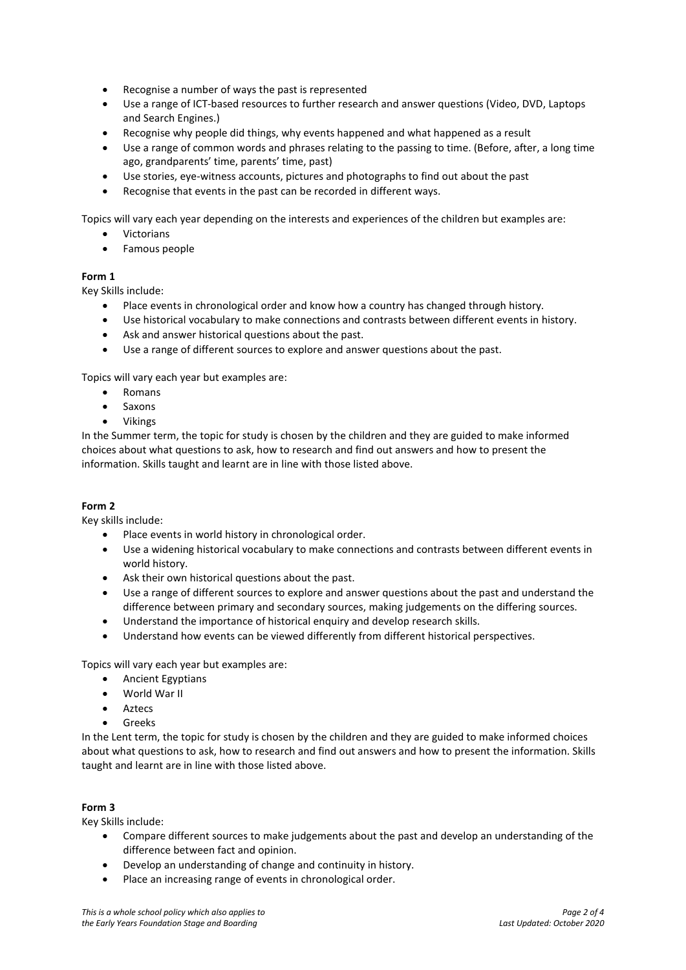- Recognise a number of ways the past is represented
- Use a range of ICT-based resources to further research and answer questions (Video, DVD, Laptops and Search Engines.)
- Recognise why people did things, why events happened and what happened as a result
- Use a range of common words and phrases relating to the passing to time. (Before, after, a long time ago, grandparents' time, parents' time, past)
- Use stories, eye-witness accounts, pictures and photographs to find out about the past
- Recognise that events in the past can be recorded in different ways.

Topics will vary each year depending on the interests and experiences of the children but examples are:

- Victorians
- Famous people

## **Form 1**

Key Skills include:

- Place events in chronological order and know how a country has changed through history.
- Use historical vocabulary to make connections and contrasts between different events in history.
- Ask and answer historical questions about the past.
- Use a range of different sources to explore and answer questions about the past.

Topics will vary each year but examples are:

- Romans
- Saxons
- Vikings

In the Summer term, the topic for study is chosen by the children and they are guided to make informed choices about what questions to ask, how to research and find out answers and how to present the information. Skills taught and learnt are in line with those listed above.

## **Form 2**

Key skills include:

- Place events in world history in chronological order.
- Use a widening historical vocabulary to make connections and contrasts between different events in world history.
- Ask their own historical questions about the past.
- Use a range of different sources to explore and answer questions about the past and understand the difference between primary and secondary sources, making judgements on the differing sources.
- Understand the importance of historical enquiry and develop research skills.
- Understand how events can be viewed differently from different historical perspectives.

Topics will vary each year but examples are:

- Ancient Egyptians
- World War II
- **Aztecs**
- Greeks

In the Lent term, the topic for study is chosen by the children and they are guided to make informed choices about what questions to ask, how to research and find out answers and how to present the information. Skills taught and learnt are in line with those listed above.

## **Form 3**

Key Skills include:

- Compare different sources to make judgements about the past and develop an understanding of the difference between fact and opinion.
- Develop an understanding of change and continuity in history.
- Place an increasing range of events in chronological order.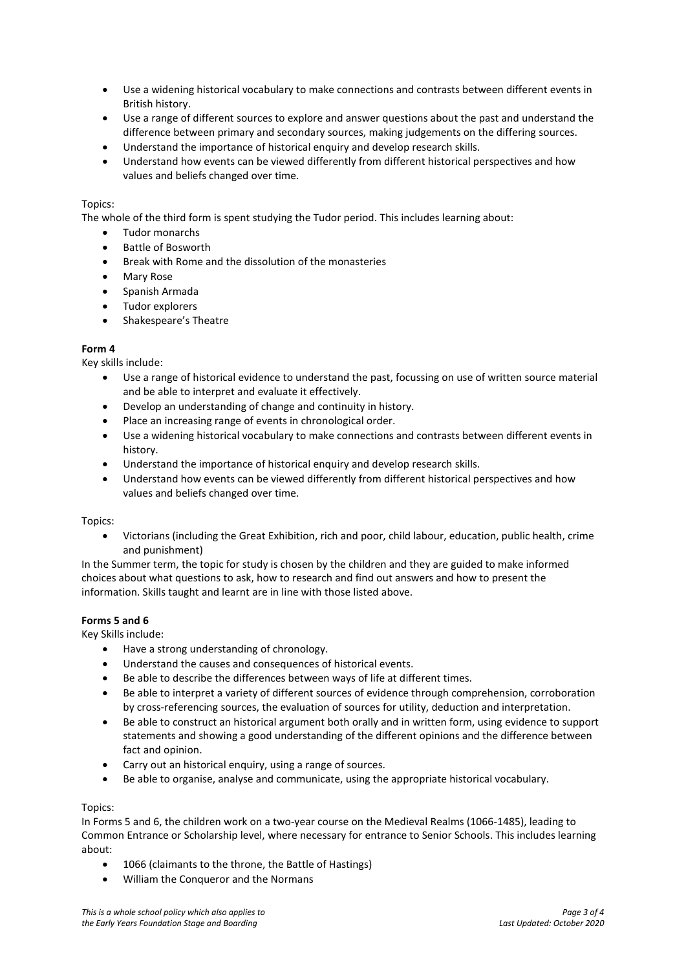- Use a widening historical vocabulary to make connections and contrasts between different events in British history.
- Use a range of different sources to explore and answer questions about the past and understand the difference between primary and secondary sources, making judgements on the differing sources.
- Understand the importance of historical enquiry and develop research skills.
- Understand how events can be viewed differently from different historical perspectives and how values and beliefs changed over time.

## Topics:

The whole of the third form is spent studying the Tudor period. This includes learning about:

- Tudor monarchs
- Battle of Bosworth
- Break with Rome and the dissolution of the monasteries
- Mary Rose
- Spanish Armada
- Tudor explorers
- Shakespeare's Theatre

## **Form 4**

Key skills include:

- Use a range of historical evidence to understand the past, focussing on use of written source material and be able to interpret and evaluate it effectively.
- Develop an understanding of change and continuity in history.
- Place an increasing range of events in chronological order.
- Use a widening historical vocabulary to make connections and contrasts between different events in history.
- Understand the importance of historical enquiry and develop research skills.
- Understand how events can be viewed differently from different historical perspectives and how values and beliefs changed over time.

## Topics:

• Victorians (including the Great Exhibition, rich and poor, child labour, education, public health, crime and punishment)

In the Summer term, the topic for study is chosen by the children and they are guided to make informed choices about what questions to ask, how to research and find out answers and how to present the information. Skills taught and learnt are in line with those listed above.

## **Forms 5 and 6**

Key Skills include:

- Have a strong understanding of chronology.
- Understand the causes and consequences of historical events.
- Be able to describe the differences between ways of life at different times.
- Be able to interpret a variety of different sources of evidence through comprehension, corroboration by cross-referencing sources, the evaluation of sources for utility, deduction and interpretation.
- Be able to construct an historical argument both orally and in written form, using evidence to support statements and showing a good understanding of the different opinions and the difference between fact and opinion.
- Carry out an historical enquiry, using a range of sources.
- Be able to organise, analyse and communicate, using the appropriate historical vocabulary.

#### Topics:

In Forms 5 and 6, the children work on a two-year course on the Medieval Realms (1066-1485), leading to Common Entrance or Scholarship level, where necessary for entrance to Senior Schools. This includes learning about:

- 1066 (claimants to the throne, the Battle of Hastings)
- William the Conqueror and the Normans